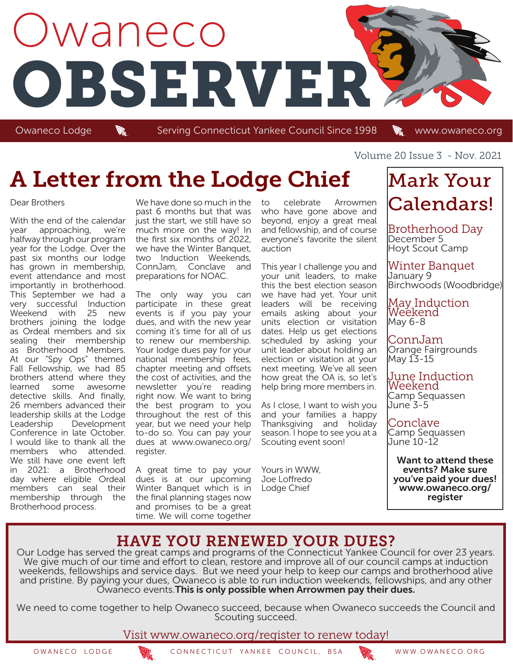

Owaneco Lodge **Wannell Serving Connecticut Yankee Council Since 1998** Www.owaneco.org

# A Letter from the Lodge Chief

#### Dear Brothers

With the end of the calendar year approaching, we're halfway through our program year for the Lodge. Over the past six months our lodge has grown in membership, event attendance and most importantly in brotherhood. This September we had a very successful Induction Weekend with 25 new brothers joining the lodge as Ordeal members and six sealing their membership as Brotherhood Members. At our "Spy Ops" themed Fall Fellowship, we had 85 brothers attend where they learned some awesome detective skills. And finally, 26 members advanced their leadership skills at the Lodge Leadership Development Conference in late October. I would like to thank all the members who attended. We still have one event left in 2021: a Brotherhood day where eligible Ordeal members can seal their membership through the Brotherhood process.

We have done so much in the past 6 months but that was just the start, we still have so much more on the way! In the first six months of 2022, we have the Winter Banquet, two Induction Weekends, ConnJam, Conclave and preparations for NOAC.

The only way you can participate in these great events is if you pay your dues, and with the new year coming it's time for all of us to renew our membership. Your lodge dues pay for your national membership fees, chapter meeting and offsets the cost of activities, and the newsletter you're reading right now. We want to bring the best program to you throughout the rest of this year, but we need your help to-do so. You can pay your dues at www.owaneco.org/ register.

A great time to pay your dues is at our upcoming Winter Banquet which is in the final planning stages now and promises to be a great time. We will come together

to celebrate Arrowmen who have gone above and beyond, enjoy a great meal and fellowship, and of course everyone's favorite the silent auction

This year I challenge you and your unit leaders, to make this the best election season we have had yet. Your unit leaders will be receiving emails asking about your units election or visitation dates. Help us get elections scheduled by asking your unit leader about holding an election or visitation at your next meeting. We've all seen how great the OA is, so let's help bring more members in.

As I close, I want to wish you and your families a happy Thanksgiving and holiday season. I hope to see you at a Scouting event soon!

Yours in WWW, Joe Loffredo Lodge Chief

Volume 20 Issue 3 - Nov. 2021

# Mark Your Calendars!

Brotherhood Day December 5 Hoyt Scout Camp

Winter Banquet January 9 Birchwoods (Woodbridge)

May Induction Weekend May 6-8

ConnJam Orange Fairgrounds May 13-15

June Induction Weekend Camp Sequassen June 3-5

Conclave Camp Sequassen June 10-12

Want to attend these events? Make sure you've paid your dues! www.owaneco.org/ register

### HAVE YOU RENEWED YOUR DUES?

Our Lodge has served the great camps and programs of the Connecticut Yankee Council for over 23 years. We give much of our time and effort to clean, restore and improve all of our council camps at induction weekends, fellowships and service days. But we need your help to keep our camps and brotherhood alive and pristine. By paying your dues, Owaneco is able to run induction weekends, fellowships, and any other Owaneco events. This is only possible when Arrowmen pay their dues.

We need to come together to help Owaneco succeed, because when Owaneco succeeds the Council and Scouting succeed.

Visit www.owaneco.org/register to renew today!

OWANECO LODGE CONNECTICUT YANKEE COUNCIL, BSA WWW.OWANECO.ORG

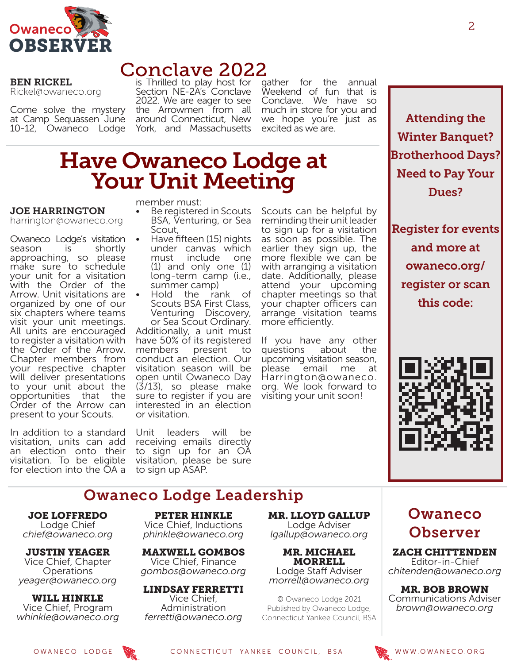

### Conclave 2022

BEN RICKEL Rickel@owaneco.org

Come solve the mystery at Camp Sequassen June 10-12, Owaneco Lodge

is Thrilled to play host for Section NE-2A's Conclave 2022. We are eager to see the Arrowmen from all around Connecticut, New York, and Massachusetts

gather for the annual Weekend of fun that is Conclave. We have so much in store for you and We hope you're just as **Attending the** excited as we are.

# Have Owaneco Lodge at Your Unit Meeting

#### JOE HARRINGTON

harrington@owaneco.org

Owaneco Lodge's visitation season is shortly approaching, so please make sure to schedule your unit for a visitation with the Order of the Arrow. Unit visitations are organized by one of our six chapters where teams visit your unit meetings. All units are encouraged to register a visitation with the Order of the Arrow. Chapter members from your respective chapter will deliver presentations to your unit about the opportunities Order of the Arrow can present to your Scouts.

In addition to a standard visitation, units can add an election onto their visitation. To be eligible for election into the OA a member must:

- Be registered in Scouts BSA, Venturing, or Sea<br>Scout,
- Have fifteen (15) nights under canvas which must include one (1) and only one (1) long-term camp (i.e.,
- summer camp)<br>
Hold the rank of Scouts BSA First Class, Venturing Discovery, or Sea Scout Ordinary. Additionally, a unit must have 50% of its registered members present to conduct an election. Our visitation season will be open until Owaneco Day (3/13), so please make sure to register if you are interested in an election or visitation.

Unit leaders will be receiving emails directly to sign up for an OA visitation, please be sure to sign up ASAP.

Scouts can be helpful by reminding their unit leader to sign up for a visitation as soon as possible. The earlier they sign up, the more flexible we can be with arranging a visitation date. Additionally, please attend your upcoming chapter meetings so that your chapter officers can arrange visitation teams more efficiently.

If you have any other<br>questions about the questions about the upcoming visitation season, please email me at Harrington@owaneco. org. We look forward to visiting your unit soon!

Winter Banquet? Brotherhood Days? Need to Pay Your Dues?

Register for events and more at owaneco.org/ register or scan this code:



### Owaneco Lodge Leadership

JOE LOFFREDO Lodge Chief *chief@owaneco.org*

JUSTIN YEAGER Vice Chief, Chapter **Operations** *yeager@owaneco.org*

WILL HINKLE Vice Chief, Program *whinkle@owaneco.org*

PETER HINKLE Vice Chief, Inductions *phinkle@owaneco.org*

MAXWELL GOMBOS Vice Chief, Finance *gombos@owaneco.org*

LINDSAY FERRETTI Vice Chief, Administration *ferretti@owaneco.org*

MR. LLOYD GALLUP Lodge Adviser *lgallup@owaneco.org*

MR. MICHAEL MORRELL Lodge Staff Adviser *morrell@owaneco.org*

© Owaneco Lodge 2021 Published by Owaneco Lodge, Connecticut Yankee Council, BSA Owaneco Observer

ZACH CHITTENDEN Editor-in-Chief *chitenden@owaneco.org*

MR. BOB BROWN Communications Adviser *brown@owaneco.org*

OWANECO LODGE **WE CONNECTICUT YANKEE COUNCIL, BSA** WWW.OWANECO.ORG

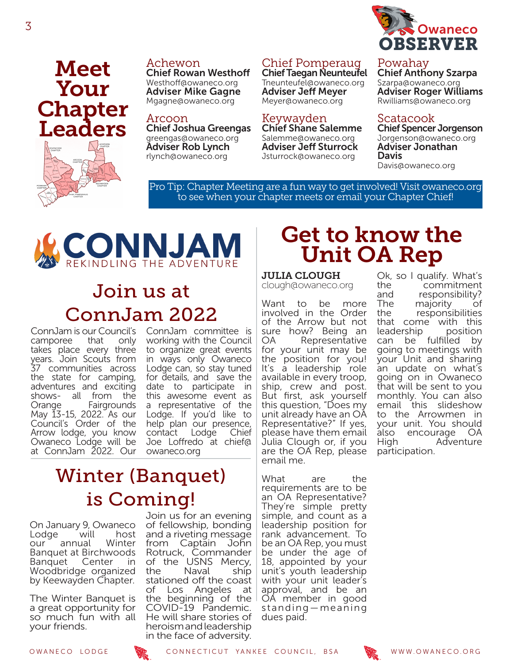

### Chief Pomperaug Chief Taegan Neunteufel

Tneunteufel@owaneco.org Adviser Jeff Meyer Meyer@owaneco.org

Keywayden Chief Shane Salemme Salemme@owaneco.org Adviser Jeff Sturrock Jsturrock@owaneco.org

#### Powahay Chief Anthony Szarpa

Szarpa@owaneco.org Adviser Roger Williams Rwilliams@owaneco.org

#### Scatacook

Chief Spencer Jorgenson Jorgenson@owaneco.org Adviser Jonathan Davis Davis@owaneco.org

Pro Tip: Chapter Meeting are a fun way to get involved! Visit owaneco.org to see when your chapter meets or email your Chapter Chief!



Achewon

Arcoon

Chief Rowan Westhoff Westhoff@owaneco.org Adviser Mike Gagne Mgagne@owaneco.org

Chief Joshua Greengas greengas@owaneco.org Adviser Rob Lynch rlynch@owaneco.org

# Join us at ConnJam 2022

ConnJam is our Council's ConnJam committee is camporee that only takes place every three years. Join Scouts from 37 communities across the state for camping, adventures and exciting shows- all from the Orange Fairgrounds May 13-15, 2022. As our Council's Order of the Arrow lodge, you know Owaneco Lodge will be at ConnJam 2022. Our

working with the Council to organize great events in ways only Owaneco Lodge can, so stay tuned for details, and save the date to participate in this awesome event as a representative of the Lodge. If you'd like to help plan our presence,<br>contact Lodge Chief contact Lodge Joe Loffredo at chief@ owaneco.org

### Winter (Banquet) is Coming!

On January 9, Owaneco Lodge will host our annual Banquet at Birchwoods Banquet Center in Woodbridge organized by Keewayden Chapter.

The Winter Banquet is a great opportunity for so much fun with all your friends.

Join us for an evening of fellowship, bonding and a riveting message from Captain John Rotruck, Commander of the USNS Mercy, the Naval ship stationed off the coast<br>of Los Angeles at Los Angeles at the beginning of the COVID-19 Pandemic. He will share stories of heroism and leadership in the face of adversity.

### Get to know the Unit OA Rep

#### JULIA CLOUGH

clough@owaneco.org

Want to be more involved in the Order of the Arrow but not sure how? Being an<br>OA Representative Representative for your unit may be the position for you! It's a leadership role available in every troop, ship, crew and post. But first, ask yourself this question, "Does my unit already have an OA Representative?" If yes, please have them email Julia Clough or, if you are the OA Rep, please email me.

What are the requirements are to be an OA Representative? They're simple pretty simple, and count as a leadership position for rank advancement. To be an OA Rep, you must be under the age of 18, appointed by your unit's youth leadership with your unit leader's approval, and be an OA member in good standing—meaning dues paid.

Ok, so I qualify. What's the commitment<br>and responsibility? and responsibility?<br>The maiority of The majority of<br>the responsibilities responsibilities that come with this leadership position can be fulfilled by going to meetings with your Unit and sharing an update on what's going on in Owaneco that will be sent to you monthly. You can also email this slideshow to the Arrowmen in your unit. You should also encourage OA High Adventure participation.

Meet

Your

**Chapter** 

Leaders